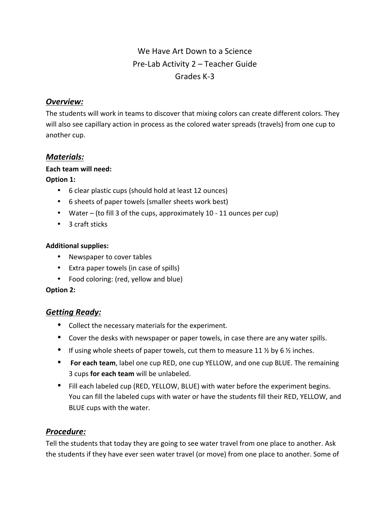# We Have Art Down to a Science Pre-Lab Activity  $2$  – Teacher Guide Grades K-3

### *Overview:*

The students will work in teams to discover that mixing colors can create different colors. They will also see capillary action in process as the colored water spreads (travels) from one cup to another cup.

### *Materials:*

#### **Each team will need:**

#### **Option 1:**

- 6 clear plastic cups (should hold at least 12 ounces)
- 6 sheets of paper towels (smaller sheets work best)
- Water (to fill 3 of the cups, approximately 10 11 ounces per cup)
- 3 craft sticks

#### **Additional supplies:**

- Newspaper to cover tables
- Extra paper towels (in case of spills)
- Food coloring: (red, yellow and blue)

#### **Option 2:**

## *Getting Ready:*

- Collect the necessary materials for the experiment.
- Cover the desks with newspaper or paper towels, in case there are any water spills.
- If using whole sheets of paper towels, cut them to measure 11  $\frac{1}{2}$  by 6  $\frac{1}{2}$  inches.
- For each team, label one cup RED, one cup YELLOW, and one cup BLUE. The remaining 3 cups **for each team** will be unlabeled.
- Fill each labeled cup (RED, YELLOW, BLUE) with water before the experiment begins. You can fill the labeled cups with water or have the students fill their RED, YELLOW, and BLUE cups with the water.

## *Procedure:*

Tell the students that today they are going to see water travel from one place to another. Ask the students if they have ever seen water travel (or move) from one place to another. Some of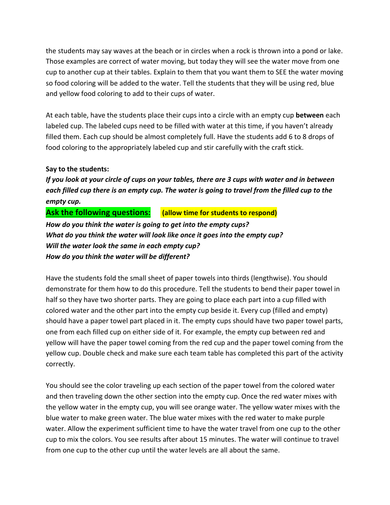the students may say waves at the beach or in circles when a rock is thrown into a pond or lake. Those examples are correct of water moving, but today they will see the water move from one cup to another cup at their tables. Explain to them that you want them to SEE the water moving so food coloring will be added to the water. Tell the students that they will be using red, blue and yellow food coloring to add to their cups of water.

At each table, have the students place their cups into a circle with an empty cup **between** each labeled cup. The labeled cups need to be filled with water at this time, if you haven't already filled them. Each cup should be almost completely full. Have the students add 6 to 8 drops of food coloring to the appropriately labeled cup and stir carefully with the craft stick.

#### **Say to the students:**

*If* you look at your circle of cups on your tables, there are 3 cups with water and in between each filled cup there is an empty cup. The water is going to travel from the filled cup to the *empty cup.* 

### **Ask the following questions:** (allow time for students to respond)

How do you think the water is going to get into the empty cups? *What do you think the water will look like once it goes into the empty cup?* Will the water look the same in each empty cup? *How do you think the water will be different?*

Have the students fold the small sheet of paper towels into thirds (lengthwise). You should demonstrate for them how to do this procedure. Tell the students to bend their paper towel in half so they have two shorter parts. They are going to place each part into a cup filled with colored water and the other part into the empty cup beside it. Every cup (filled and empty) should have a paper towel part placed in it. The empty cups should have two paper towel parts, one from each filled cup on either side of it. For example, the empty cup between red and yellow will have the paper towel coming from the red cup and the paper towel coming from the yellow cup. Double check and make sure each team table has completed this part of the activity correctly. 

You should see the color traveling up each section of the paper towel from the colored water and then traveling down the other section into the empty cup. Once the red water mixes with the yellow water in the empty cup, you will see orange water. The yellow water mixes with the blue water to make green water. The blue water mixes with the red water to make purple water. Allow the experiment sufficient time to have the water travel from one cup to the other cup to mix the colors. You see results after about 15 minutes. The water will continue to travel from one cup to the other cup until the water levels are all about the same.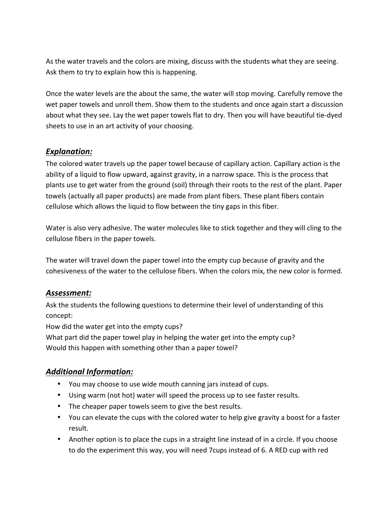As the water travels and the colors are mixing, discuss with the students what they are seeing. Ask them to try to explain how this is happening.

Once the water levels are the about the same, the water will stop moving. Carefully remove the wet paper towels and unroll them. Show them to the students and once again start a discussion about what they see. Lay the wet paper towels flat to dry. Then you will have beautiful tie-dyed sheets to use in an art activity of your choosing.

### *Explanation:*

The colored water travels up the paper towel because of capillary action. Capillary action is the ability of a liquid to flow upward, against gravity, in a narrow space. This is the process that plants use to get water from the ground (soil) through their roots to the rest of the plant. Paper towels (actually all paper products) are made from plant fibers. These plant fibers contain cellulose which allows the liquid to flow between the tiny gaps in this fiber.

Water is also very adhesive. The water molecules like to stick together and they will cling to the cellulose fibers in the paper towels.

The water will travel down the paper towel into the empty cup because of gravity and the cohesiveness of the water to the cellulose fibers. When the colors mix, the new color is formed.

### *Assessment:*

Ask the students the following questions to determine their level of understanding of this concept:

How did the water get into the empty cups?

What part did the paper towel play in helping the water get into the empty cup? Would this happen with something other than a paper towel?

## *Additional Information:*

- You may choose to use wide mouth canning jars instead of cups.
- Using warm (not hot) water will speed the process up to see faster results.
- The cheaper paper towels seem to give the best results.
- You can elevate the cups with the colored water to help give gravity a boost for a faster result.
- Another option is to place the cups in a straight line instead of in a circle. If you choose to do the experiment this way, you will need 7cups instead of 6. A RED cup with red